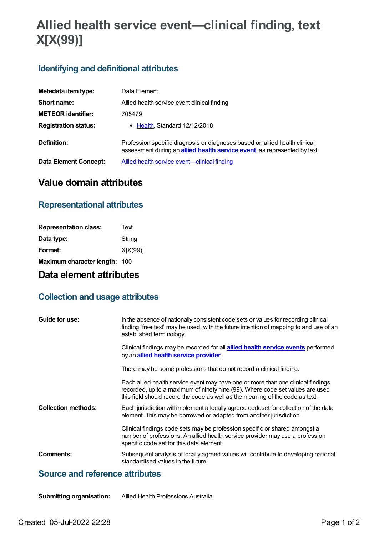# **Allied health service event—clinical finding, text X[X(99)]**

## **Identifying and definitional attributes**

| Metadata item type:          | Data Element                                                                                                                                                    |
|------------------------------|-----------------------------------------------------------------------------------------------------------------------------------------------------------------|
| Short name:                  | Allied health service event clinical finding                                                                                                                    |
| <b>METEOR identifier:</b>    | 705479                                                                                                                                                          |
| <b>Registration status:</b>  | $\bullet$ Health Standard 12/12/2018                                                                                                                            |
| Definition:                  | Profession specific diagnosis or diagnoses based on allied health clinical<br>assessment during an <b>allied health service event</b> , as represented by text. |
| <b>Data Element Concept:</b> | Allied health service event—clinical finding                                                                                                                    |

# **Value domain attributes**

#### **Representational attributes**

| Text                          |
|-------------------------------|
| String                        |
| X[X(99)]                      |
| Maximum character length: 100 |
|                               |

# **Data element attributes**

#### **Collection and usage attributes**

| Guide for use:             | In the absence of nationally consistent code sets or values for recording clinical                                                                                                                                                                 |
|----------------------------|----------------------------------------------------------------------------------------------------------------------------------------------------------------------------------------------------------------------------------------------------|
|                            | finding 'free text' may be used, with the future intention of mapping to and use of an<br>established terminology.                                                                                                                                 |
|                            | Clinical findings may be recorded for all <b>allied health service events</b> performed<br>by an <b>allied health service provider</b> .                                                                                                           |
|                            | There may be some professions that do not record a clinical finding.                                                                                                                                                                               |
|                            | Each allied health service event may have one or more than one clinical findings<br>recorded, up to a maximum of ninety nine (99). Where code set values are used<br>this field should record the code as well as the meaning of the code as text. |
| <b>Collection methods:</b> | Each jurisdiction will implement a locally agreed codeset for collection of the data<br>element. This may be borrowed or adapted from another jurisdiction.                                                                                        |
|                            | Clinical findings code sets may be profession specific or shared amongst a<br>number of professions. An allied health service provider may use a profession<br>specific code set for this data element.                                            |
| Comments:                  | Subsequent analysis of locally agreed values will contribute to developing national<br>standardised values in the future.                                                                                                                          |

## **Source and reference attributes**

**Submitting organisation:** Allied Health Professions Australia